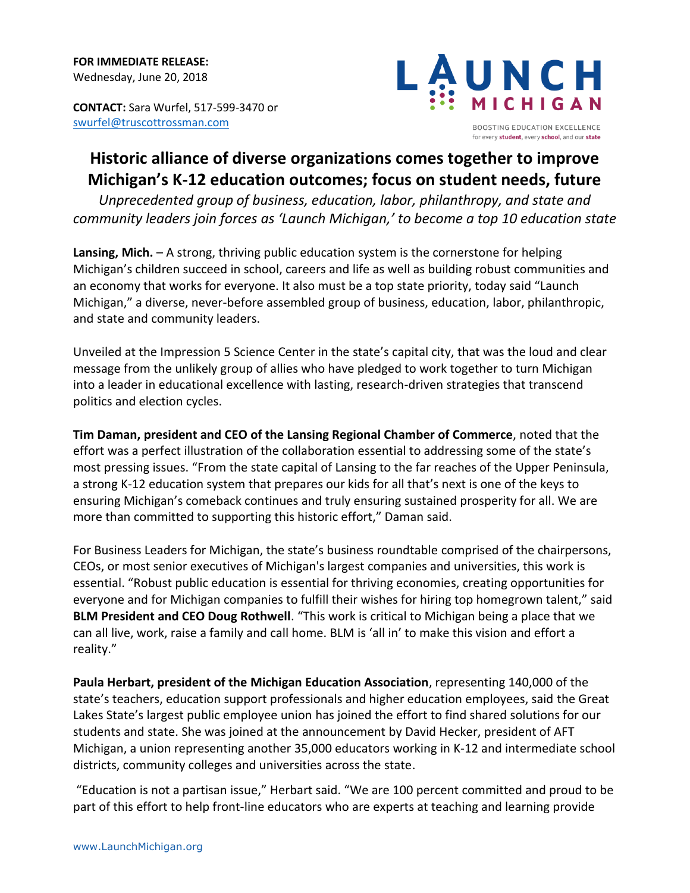**CONTACT:** Sara Wurfel, 517-599-3470 or [swurfel@truscottrossman.com](mailto:swurfel@truscottrossman.com)



## **Historic alliance of diverse organizations comes together to improve Michigan's K-12 education outcomes; focus on student needs, future**

*Unprecedented group of business, education, labor, philanthropy, and state and community leaders join forces as 'Launch Michigan,' to become a top 10 education state*

**Lansing, Mich.** – A strong, thriving public education system is the cornerstone for helping Michigan's children succeed in school, careers and life as well as building robust communities and an economy that works for everyone. It also must be a top state priority, today said "Launch Michigan," a diverse, never-before assembled group of business, education, labor, philanthropic, and state and community leaders.

Unveiled at the Impression 5 Science Center in the state's capital city, that was the loud and clear message from the unlikely group of allies who have pledged to work together to turn Michigan into a leader in educational excellence with lasting, research-driven strategies that transcend politics and election cycles.

**Tim Daman, president and CEO of the Lansing Regional Chamber of Commerce**, noted that the effort was a perfect illustration of the collaboration essential to addressing some of the state's most pressing issues. "From the state capital of Lansing to the far reaches of the Upper Peninsula, a strong K-12 education system that prepares our kids for all that's next is one of the keys to ensuring Michigan's comeback continues and truly ensuring sustained prosperity for all. We are more than committed to supporting this historic effort," Daman said.

For Business Leaders for Michigan, the state's business roundtable comprised of the chairpersons, CEOs, or most senior executives of Michigan's largest companies and universities, this work is essential. "Robust public education is essential for thriving economies, creating opportunities for everyone and for Michigan companies to fulfill their wishes for hiring top homegrown talent," said **BLM President and CEO Doug Rothwell**. "This work is critical to Michigan being a place that we can all live, work, raise a family and call home. BLM is 'all in' to make this vision and effort a reality."

**Paula Herbart, president of the Michigan Education Association**, representing 140,000 of the state's teachers, education support professionals and higher education employees, said the Great Lakes State's largest public employee union has joined the effort to find shared solutions for our students and state. She was joined at the announcement by David Hecker, president of AFT Michigan, a union representing another 35,000 educators working in K-12 and intermediate school districts, community colleges and universities across the state.

"Education is not a partisan issue," Herbart said. "We are 100 percent committed and proud to be part of this effort to help front-line educators who are experts at teaching and learning provide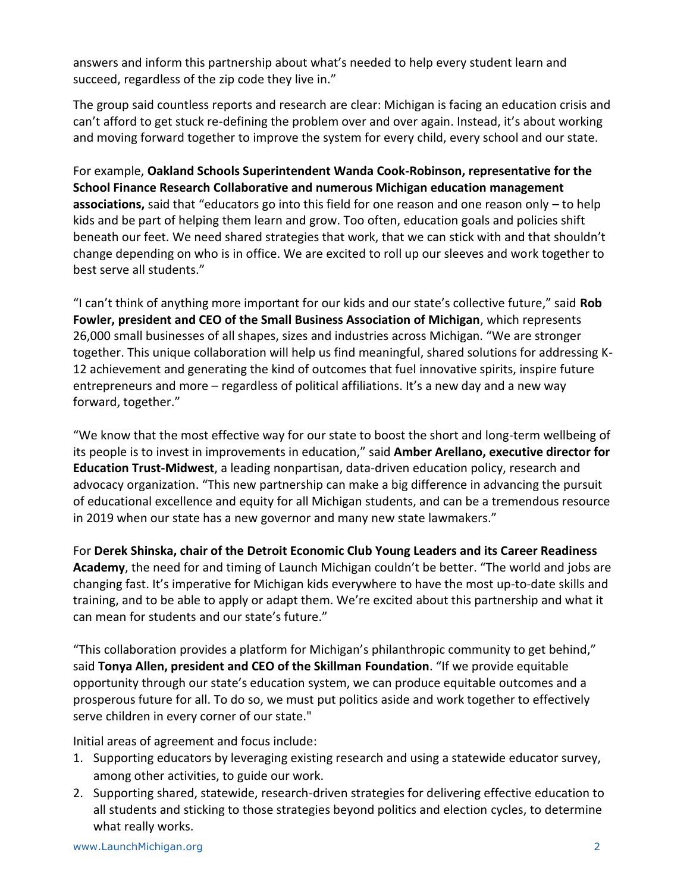answers and inform this partnership about what's needed to help every student learn and succeed, regardless of the zip code they live in."

The group said countless reports and research are clear: Michigan is facing an education crisis and can't afford to get stuck re-defining the problem over and over again. Instead, it's about working and moving forward together to improve the system for every child, every school and our state.

For example, **Oakland Schools Superintendent Wanda Cook-Robinson, representative for the School Finance Research Collaborative and numerous Michigan education management associations,** said that "educators go into this field for one reason and one reason only – to help kids and be part of helping them learn and grow. Too often, education goals and policies shift beneath our feet. We need shared strategies that work, that we can stick with and that shouldn't change depending on who is in office. We are excited to roll up our sleeves and work together to best serve all students."

"I can't think of anything more important for our kids and our state's collective future," said **Rob Fowler, president and CEO of the Small Business Association of Michigan**, which represents 26,000 small businesses of all shapes, sizes and industries across Michigan. "We are stronger together. This unique collaboration will help us find meaningful, shared solutions for addressing K-12 achievement and generating the kind of outcomes that fuel innovative spirits, inspire future entrepreneurs and more – regardless of political affiliations. It's a new day and a new way forward, together."

"We know that the most effective way for our state to boost the short and long-term wellbeing of its people is to invest in improvements in education," said **Amber Arellano, executive director for Education Trust-Midwest**, a leading nonpartisan, data-driven education policy, research and advocacy organization. "This new partnership can make a big difference in advancing the pursuit of educational excellence and equity for all Michigan students, and can be a tremendous resource in 2019 when our state has a new governor and many new state lawmakers."

For **Derek Shinska, chair of the Detroit Economic Club Young Leaders and its Career Readiness Academy**, the need for and timing of Launch Michigan couldn't be better. "The world and jobs are changing fast. It's imperative for Michigan kids everywhere to have the most up-to-date skills and training, and to be able to apply or adapt them. We're excited about this partnership and what it can mean for students and our state's future."

"This collaboration provides a platform for Michigan's philanthropic community to get behind," said **Tonya Allen, president and CEO of the Skillman Foundation**. "If we provide equitable opportunity through our state's education system, we can produce equitable outcomes and a prosperous future for all. To do so, we must put politics aside and work together to effectively serve children in every corner of our state."

Initial areas of agreement and focus include:

- 1. Supporting educators by leveraging existing research and using a statewide educator survey, among other activities, to guide our work.
- 2. Supporting shared, statewide, research-driven strategies for delivering effective education to all students and sticking to those strategies beyond politics and election cycles, to determine what really works.